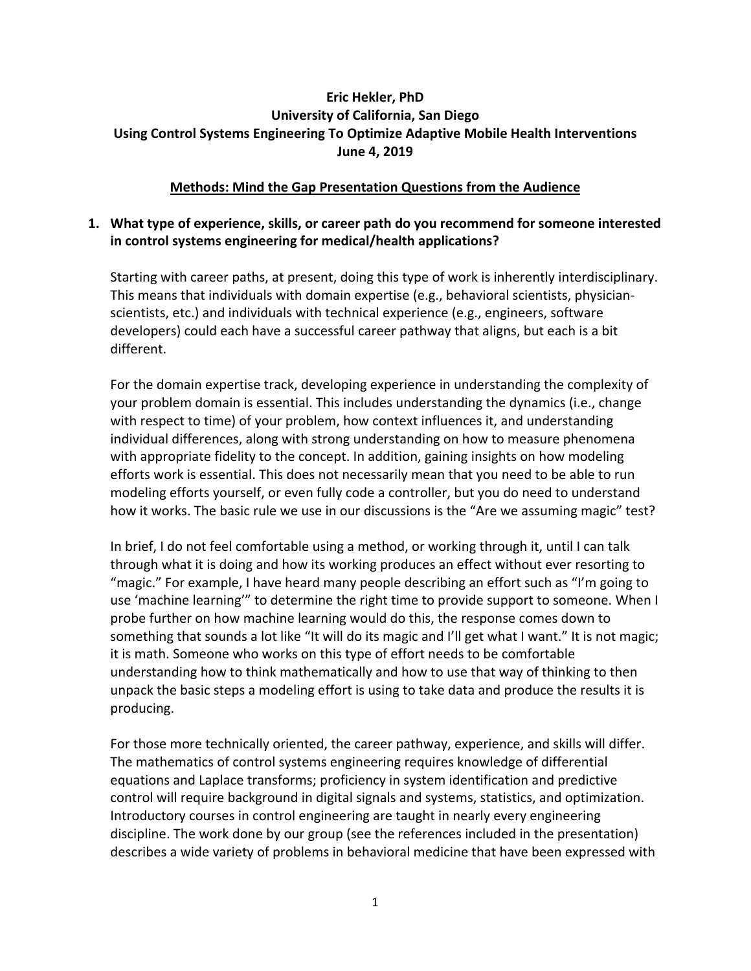# **Eric Hekler, PhD University of California, San Diego Using Control Systems Engineering To Optimize Adaptive Mobile Health Interventions June 4, 2019**

#### **Methods: Mind the Gap Presentation Questions from the Audience**

### **1. What type of experience, skills, or career path do you recommend for someone interested in control systems engineering for medical/health applications?**

Starting with career paths, at present, doing this type of work is inherently interdisciplinary. This means that individuals with domain expertise (e.g., behavioral scientists, physicianscientists, etc.) and individuals with technical experience (e.g., engineers, software developers) could each have a successful career pathway that aligns, but each is a bit different.

For the domain expertise track, developing experience in understanding the complexity of your problem domain is essential. This includes understanding the dynamics (i.e., change with respect to time) of your problem, how context influences it, and understanding individual differences, along with strong understanding on how to measure phenomena with appropriate fidelity to the concept. In addition, gaining insights on how modeling efforts work is essential. This does not necessarily mean that you need to be able to run modeling efforts yourself, or even fully code a controller, but you do need to understand how it works. The basic rule we use in our discussions is the "Are we assuming magic" test?

In brief, I do not feel comfortable using a method, or working through it, until I can talk through what it is doing and how its working produces an effect without ever resorting to "magic." For example, I have heard many people describing an effort such as "I'm going to use 'machine learning'" to determine the right time to provide support to someone. When I probe further on how machine learning would do this, the response comes down to something that sounds a lot like "It will do its magic and I'll get what I want." It is not magic; it is math. Someone who works on this type of effort needs to be comfortable understanding how to think mathematically and how to use that way of thinking to then unpack the basic steps a modeling effort is using to take data and produce the results it is producing.

For those more technically oriented, the career pathway, experience, and skills will differ. The mathematics of control systems engineering requires knowledge of differential equations and Laplace transforms; proficiency in system identification and predictive control will require background in digital signals and systems, statistics, and optimization. Introductory courses in control engineering are taught in nearly every engineering discipline. The work done by our group (see the references included in the presentation) describes a wide variety of problems in behavioral medicine that have been expressed with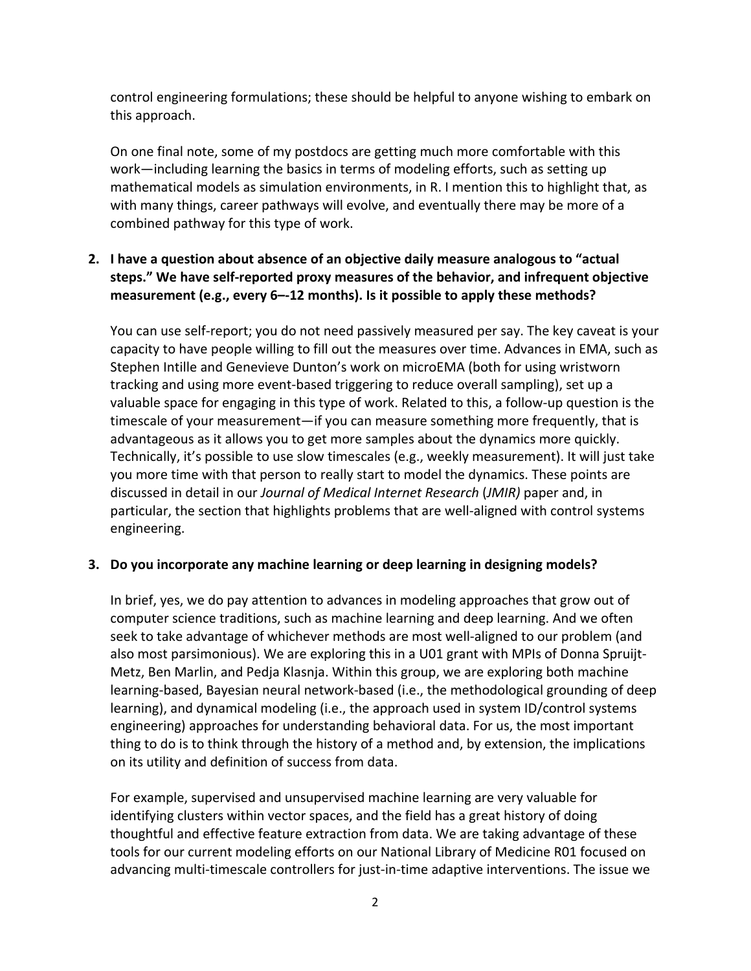control engineering formulations; these should be helpful to anyone wishing to embark on this approach.

On one final note, some of my postdocs are getting much more comfortable with this work—including learning the basics in terms of modeling efforts, such as setting up mathematical models as simulation environments, in R. I mention this to highlight that, as with many things, career pathways will evolve, and eventually there may be more of a combined pathway for this type of work.

# **2. I have a question about absence of an objective daily measure analogous to "actual steps." We have self-reported proxy measures of the behavior, and infrequent objective measurement (e.g., every 6–-12 months). Is it possible to apply these methods?**

You can use self-report; you do not need passively measured per say. The key caveat is your capacity to have people willing to fill out the measures over time. Advances in EMA, such as Stephen Intille and Genevieve Dunton's work on microEMA (both for using wristworn tracking and using more event-based triggering to reduce overall sampling), set up a valuable space for engaging in this type of work. Related to this, a follow-up question is the timescale of your measurement—if you can measure something more frequently, that is advantageous as it allows you to get more samples about the dynamics more quickly. Technically, it's possible to use slow timescales (e.g., weekly measurement). It will just take you more time with that person to really start to model the dynamics. These points are discussed in detail in our *Journal of Medical Internet Research* (*JMIR)* paper and, in particular, the section that highlights problems that are well-aligned with control systems engineering.

# **3. Do you incorporate any machine learning or deep learning in designing models?**

In brief, yes, we do pay attention to advances in modeling approaches that grow out of computer science traditions, such as machine learning and deep learning. And we often seek to take advantage of whichever methods are most well-aligned to our problem (and also most parsimonious). We are exploring this in a U01 grant with MPIs of Donna Spruijt-Metz, Ben Marlin, and Pedja Klasnja. Within this group, we are exploring both machine learning-based, Bayesian neural network-based (i.e., the methodological grounding of deep learning), and dynamical modeling (i.e., the approach used in system ID/control systems engineering) approaches for understanding behavioral data. For us, the most important thing to do is to think through the history of a method and, by extension, the implications on its utility and definition of success from data.

For example, supervised and unsupervised machine learning are very valuable for identifying clusters within vector spaces, and the field has a great history of doing thoughtful and effective feature extraction from data. We are taking advantage of these tools for our current modeling efforts on our National Library of Medicine R01 focused on advancing multi-timescale controllers for just-in-time adaptive interventions. The issue we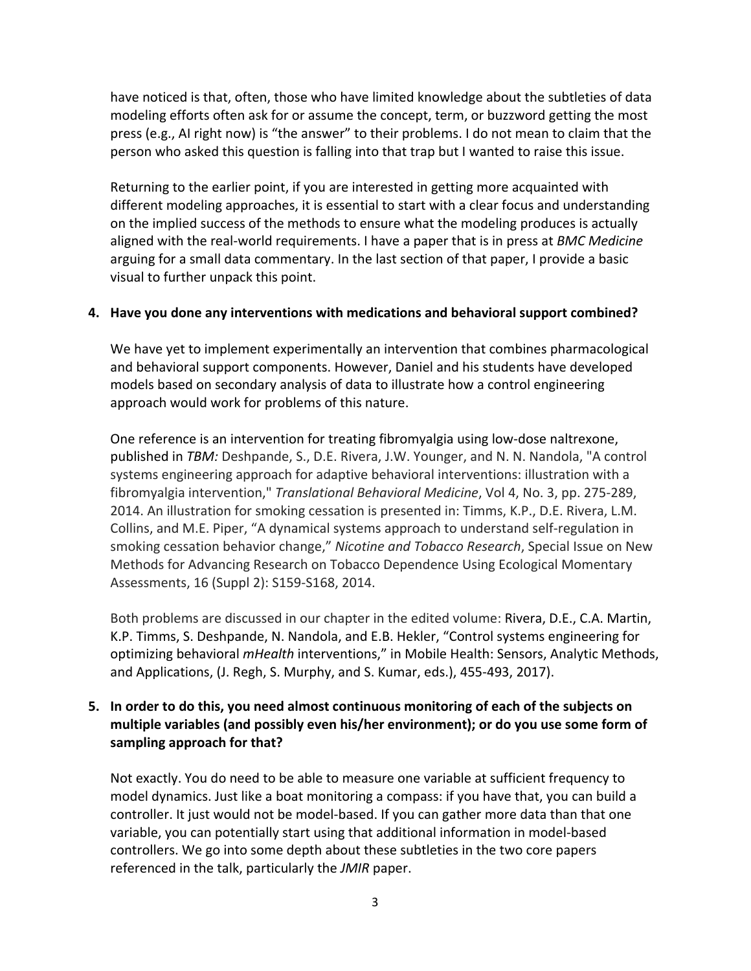have noticed is that, often, those who have limited knowledge about the subtleties of data modeling efforts often ask for or assume the concept, term, or buzzword getting the most press (e.g., AI right now) is "the answer" to their problems. I do not mean to claim that the person who asked this question is falling into that trap but I wanted to raise this issue.

Returning to the earlier point, if you are interested in getting more acquainted with different modeling approaches, it is essential to start with a clear focus and understanding on the implied success of the methods to ensure what the modeling produces is actually aligned with the real-world requirements. I have a paper that is in press at *BMC Medicine* arguing for a small data commentary. In the last section of that paper, I provide a basic visual to further unpack this point.

#### **4. Have you done any interventions with medications and behavioral support combined?**

We have yet to implement experimentally an intervention that combines pharmacological and behavioral support components. However, Daniel and his students have developed models based on secondary analysis of data to illustrate how a control engineering approach would work for problems of this nature.

One reference is an intervention for treating fibromyalgia using low-dose naltrexone, published in *TBM:* Deshpande, S., D.E. Rivera, J.W. Younger, and N. N. Nandola, "A control systems engineering approach for adaptive behavioral interventions: illustration with a fibromyalgia intervention," *Translational Behavioral Medicine*, Vol 4, No. 3, pp. 275-289, 2014. An illustration for smoking cessation is presented in: Timms, K.P., D.E. Rivera, L.M. Collins, and M.E. Piper, "A dynamical systems approach to understand self-regulation in smoking cessation behavior change," *Nicotine and Tobacco Research*, Special Issue on New Methods for Advancing Research on Tobacco Dependence Using Ecological Momentary Assessments, 16 (Suppl 2): S159-S168, 2014.

Both problems are discussed in our chapter in the edited volume: Rivera, D.E., C.A. Martin, K.P. Timms, S. Deshpande, N. Nandola, and E.B. Hekler, "Control systems engineering for optimizing behavioral *mHealth* interventions," in Mobile Health: Sensors, Analytic Methods, and Applications, (J. Regh, S. Murphy, and S. Kumar, eds.), 455-493, 2017).

# **5. In order to do this, you need almost continuous monitoring of each of the subjects on multiple variables (and possibly even his/her environment); or do you use some form of sampling approach for that?**

Not exactly. You do need to be able to measure one variable at sufficient frequency to model dynamics. Just like a boat monitoring a compass: if you have that, you can build a controller. It just would not be model-based. If you can gather more data than that one variable, you can potentially start using that additional information in model-based controllers. We go into some depth about these subtleties in the two core papers referenced in the talk, particularly the *JMIR* paper.